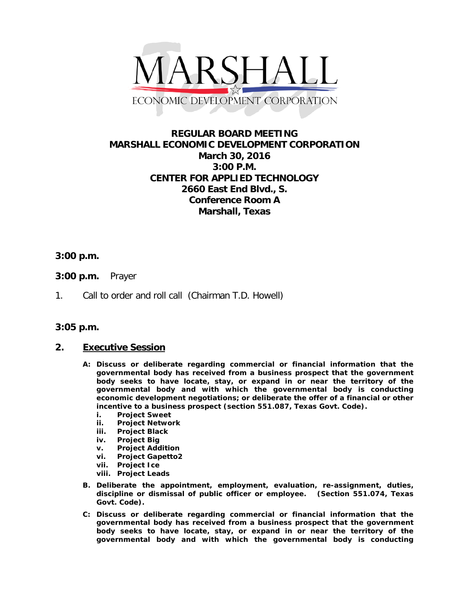

# **REGULAR BOARD MEETING MARSHALL ECONOMIC DEVELOPMENT CORPORATION March 30, 2016 3:00 P.M. CENTER FOR APPLIED TECHNOLOGY 2660 East End Blvd., S. Conference Room A Marshall, Texas**

## **3:00 p.m.**

- **3:00 p.m.** Prayer
- 1. Call to order and roll call (Chairman T.D. Howell)

### **3:05 p.m.**

### **2. Executive Session**

- **A: Discuss or deliberate regarding commercial or financial information that the governmental body has received from a business prospect that the government body seeks to have locate, stay, or expand in or near the territory of the governmental body and with which the governmental body is conducting economic development negotiations; or deliberate the offer of a financial or other incentive to a business prospect (section 551.087, Texas Govt. Code).**
	- **i. Project Sweet**
	- **ii. Project Network**
	- **iii. Project Black**
	- **iv. Project Big**
	- **v. Project Addition**
	- **vi. Project Gapetto2**
	- **vii. Project Ice**
	- **viii. Project Leads**
- **B. Deliberate the appointment, employment, evaluation, re-assignment, duties, discipline or dismissal of public officer or employee. (Section 551.074, Texas Govt. Code).**
- **C: Discuss or deliberate regarding commercial or financial information that the governmental body has received from a business prospect that the government body seeks to have locate, stay, or expand in or near the territory of the governmental body and with which the governmental body is conducting**